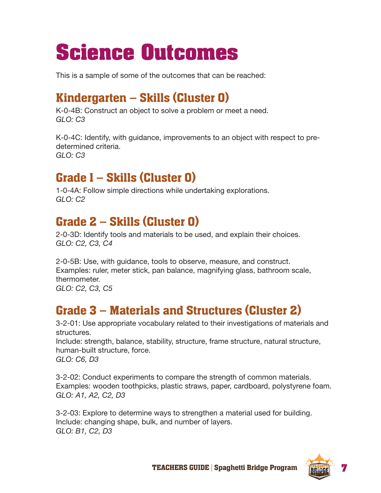# **Science Outcomes**

This is a sample of some of the outcomes that can be reached:

## Kindergarten – Skills (Cluster 0)

K-0-4B: Construct an object to solve a problem or meet a need. *GLO: C3*

K-0-4C: Identify, with guidance, improvements to an object with respect to predetermined criteria. *GLO: C3*

## Grade 1 – Skills (Cluster 0)

1-0-4A: Follow simple directions while undertaking explorations. *GLO: C2*

## Grade 2 – Skills (Cluster 0)

2-0-3D: Identify tools and materials to be used, and explain their choices. *GLO: C2, C3, C4*

2-0-5B: Use, with guidance, tools to observe, measure, and construct. Examples: ruler, meter stick, pan balance, magnifying glass, bathroom scale, thermometer. *GLO: C2, C3, C5*

#### Grade 3 – Materials and Structures (Cluster 2)

3-2-01: Use appropriate vocabulary related to their investigations of materials and structures.

Include: strength, balance, stability, structure, frame structure, natural structure, human-built structure, force. *GLO: C6, D3*

3-2-02: Conduct experiments to compare the strength of common materials. Examples: wooden toothpicks, plastic straws, paper, cardboard, polystyrene foam. *GLO: A1, A2, C2, D3*

3-2-03: Explore to determine ways to strengthen a material used for building. Include: changing shape, bulk, and number of layers. *GLO: B1, C2, D3*

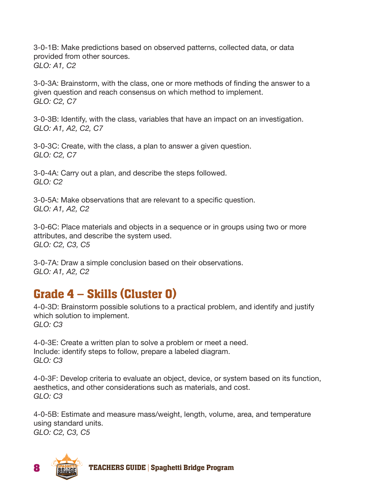3-0-1B: Make predictions based on observed patterns, collected data, or data provided from other sources. *GLO: A1, C2*

3-0-3A: Brainstorm, with the class, one or more methods of finding the answer to a given question and reach consensus on which method to implement. *GLO: C2, C7*

3-0-3B: Identify, with the class, variables that have an impact on an investigation. *GLO: A1, A2, C2, C7*

3-0-3C: Create, with the class, a plan to answer a given question. *GLO: C2, C7*

3-0-4A: Carry out a plan, and describe the steps followed. *GLO: C2*

3-0-5A: Make observations that are relevant to a specific question. *GLO: A1, A2, C2*

3-0-6C: Place materials and objects in a sequence or in groups using two or more attributes, and describe the system used. *GLO: C2, C3, C5*

3-0-7A: Draw a simple conclusion based on their observations. *GLO: A1, A2, C2*

#### Grade 4 – Skills (Cluster 0)

4-0-3D: Brainstorm possible solutions to a practical problem, and identify and justify which solution to implement. *GLO: C3*

4-0-3E: Create a written plan to solve a problem or meet a need. Include: identify steps to follow, prepare a labeled diagram. *GLO: C3*

4-0-3F: Develop criteria to evaluate an object, device, or system based on its function, aesthetics, and other considerations such as materials, and cost. *GLO: C3*

4-0-5B: Estimate and measure mass/weight, length, volume, area, and temperature using standard units. *GLO: C2, C3, C5*

**8** TEACHERS GUIDE | Spaghetti Bridge Program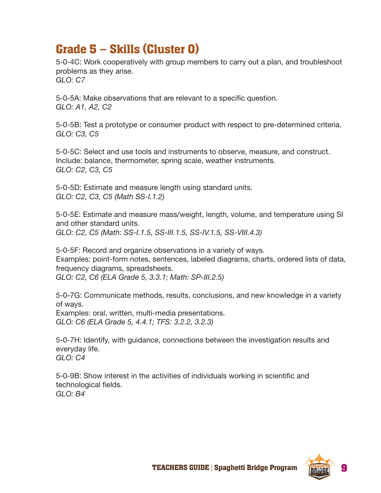### Grade 5 – Skills (Cluster 0)

5-0-4C: Work cooperatively with group members to carry out a plan, and troubleshoot problems as they arise. *GLO: C7*

5-0-5A: Make observations that are relevant to a specific question. *GLO: A1, A2, C2*

5-0-5B: Test a prototype or consumer product with respect to pre-determined criteria. *GLO: C3, C5*

5-0-5C: Select and use tools and instruments to observe, measure, and construct. Include: balance, thermometer, spring scale, weather instruments. *GLO: C2, C3, C5*

5-0-5D: Estimate and measure length using standard units. *GLO: C2, C3, C5 (Math SS-I.1.2)*

5-0-5E: Estimate and measure mass/weight, length, volume, and temperature using SI and other standard units. *GLO: C2, C5 (Math: SS-I.1.5, SS-III.1.5, SS-IV.1.5, SS-VIII.4.3)*

5-0-5F: Record and organize observations in a variety of ways. Examples: point-form notes, sentences, labeled diagrams, charts, ordered lists of data, frequency diagrams, spreadsheets. *GLO: C2, C6 (ELA Grade 5, 3.3.1; Math: SP-III.2.5)*

5-0-7G: Communicate methods, results, conclusions, and new knowledge in a variety of ways.

Examples: oral, written, multi-media presentations. *GLO: C6 (ELA Grade 5, 4.4.1; TFS: 3.2.2, 3.2.3)*

5-0-7H: Identify, with guidance, connections between the investigation results and everyday life. *GLO: C4*

5-0-9B: Show interest in the activities of individuals working in scientific and technological fields. *GLO: B4*

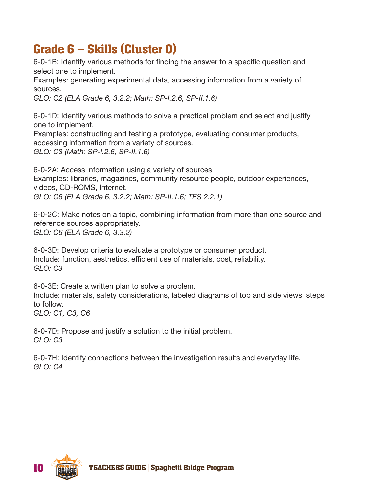## Grade 6 – Skills (Cluster 0)

6-0-1B: Identify various methods for finding the answer to a specific question and select one to implement.

Examples: generating experimental data, accessing information from a variety of sources.

*GLO: C2 (ELA Grade 6, 3.2.2; Math: SP-I.2.6, SP-II.1.6)*

6-0-1D: Identify various methods to solve a practical problem and select and justify one to implement.

Examples: constructing and testing a prototype, evaluating consumer products, accessing information from a variety of sources. *GLO: C3 (Math: SP-I.2.6, SP-II.1.6)*

6-0-2A: Access information using a variety of sources. Examples: libraries, magazines, community resource people, outdoor experiences, videos, CD-ROMS, Internet. *GLO: C6 (ELA Grade 6, 3.2.2; Math: SP-II.1.6; TFS 2.2.1)*

6-0-2C: Make notes on a topic, combining information from more than one source and reference sources appropriately. *GLO: C6 (ELA Grade 6, 3.3.2)*

6-0-3D: Develop criteria to evaluate a prototype or consumer product. Include: function, aesthetics, efficient use of materials, cost, reliability. *GLO: C3*

6-0-3E: Create a written plan to solve a problem. Include: materials, safety considerations, labeled diagrams of top and side views, steps to follow. *GLO: C1, C3, C6*

6-0-7D: Propose and justify a solution to the initial problem. *GLO: C3*

6-0-7H: Identify connections between the investigation results and everyday life. *GLO: C4*

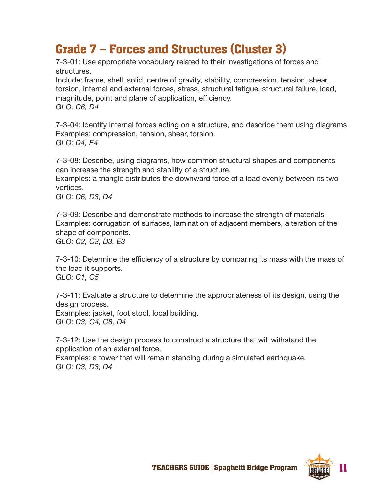### Grade 7 – Forces and Structures (Cluster 3)

7-3-01: Use appropriate vocabulary related to their investigations of forces and structures.

Include: frame, shell, solid, centre of gravity, stability, compression, tension, shear, torsion, internal and external forces, stress, structural fatigue, structural failure, load, magnitude, point and plane of application, efficiency. *GLO: C6, D4*

7-3-04: Identify internal forces acting on a structure, and describe them using diagrams Examples: compression, tension, shear, torsion. *GLO: D4, E4*

7-3-08: Describe, using diagrams, how common structural shapes and components can increase the strength and stability of a structure.

Examples: a triangle distributes the downward force of a load evenly between its two vertices.

*GLO: C6, D3, D4*

7-3-09: Describe and demonstrate methods to increase the strength of materials Examples: corrugation of surfaces, lamination of adjacent members, alteration of the shape of components.

*GLO: C2, C3, D3, E3*

7-3-10: Determine the efficiency of a structure by comparing its mass with the mass of the load it supports. *GLO: C1, C5*

7-3-11: Evaluate a structure to determine the appropriateness of its design, using the design process.

Examples: jacket, foot stool, local building. *GLO: C3, C4, C8, D4*

7-3-12: Use the design process to construct a structure that will withstand the application of an external force.

Examples: a tower that will remain standing during a simulated earthquake. *GLO: C3, D3, D4*